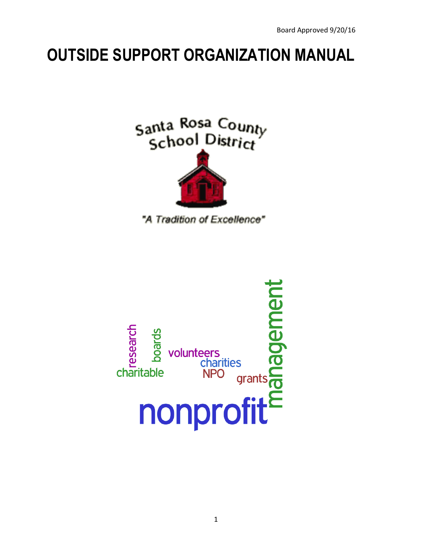# **OUTSIDE SUPPORT ORGANIZATION MANUAL**





"A Tradition of Excellence"

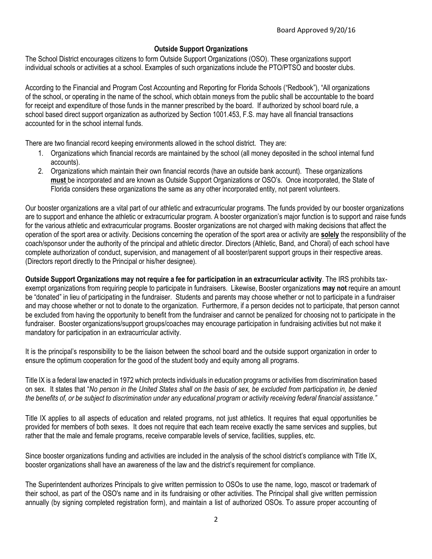#### **Outside Support Organizations**

The School District encourages citizens to form Outside Support Organizations (OSO). These organizations support individual schools or activities at a school. Examples of such organizations include the PTO/PTSO and booster clubs.

According to the Financial and Program Cost Accounting and Reporting for Florida Schools ("Redbook"), "All organizations of the school, or operating in the name of the school, which obtain moneys from the public shall be accountable to the board for receipt and expenditure of those funds in the manner prescribed by the board. If authorized by school board rule, a school based direct support organization as authorized by Section 1001.453, F.S. may have all financial transactions accounted for in the school internal funds.

There are two financial record keeping environments allowed in the school district. They are:

- 1. Organizations which financial records are maintained by the school (all money deposited in the school internal fund accounts).
- 2. Organizations which maintain their own financial records (have an outside bank account). These organizations **must** be incorporated and are known as Outside Support Organizations or OSO's. Once incorporated, the State of Florida considers these organizations the same as any other incorporated entity, not parent volunteers.

Our booster organizations are a vital part of our athletic and extracurricular programs. The funds provided by our booster organizations are to support and enhance the athletic or extracurricular program. A booster organization's major function is to support and raise funds for the various athletic and extracurricular programs. Booster organizations are not charged with making decisions that affect the operation of the sport area or activity. Decisions concerning the operation of the sport area or activity are **solely** the responsibility of the coach/sponsor under the authority of the principal and athletic director. Directors (Athletic, Band, and Choral) of each school have complete authorization of conduct, supervision, and management of all booster/parent support groups in their respective areas. (Directors report directly to the Principal or his/her designee).

**Outside Support Organizations may not require a fee for participation in an extracurricular activity**. The IRS prohibits taxexempt organizations from requiring people to participate in fundraisers. Likewise, Booster organizations **may not** require an amount be "donated" in lieu of participating in the fundraiser. Students and parents may choose whether or not to participate in a fundraiser and may choose whether or not to donate to the organization. Furthermore, if a person decides not to participate, that person cannot be excluded from having the opportunity to benefit from the fundraiser and cannot be penalized for choosing not to participate in the fundraiser. Booster organizations/support groups/coaches may encourage participation in fundraising activities but not make it mandatory for participation in an extracurricular activity.

It is the principal's responsibility to be the liaison between the school board and the outside support organization in order to ensure the optimum cooperation for the good of the student body and equity among all programs.

Title IX is a federal law enacted in 1972 which protects individuals in education programs or activities from discrimination based on sex. It states that "*No person in the United States shall on the basis of sex, be excluded from participation in, be denied the benefits of, or be subject to discrimination under any educational program or activity receiving federal financial assistance."*

Title IX applies to all aspects of education and related programs, not just athletics. It requires that equal opportunities be provided for members of both sexes. It does not require that each team receive exactly the same services and supplies, but rather that the male and female programs, receive comparable levels of service, facilities, supplies, etc.

Since booster organizations funding and activities are included in the analysis of the school district's compliance with Title IX, booster organizations shall have an awareness of the law and the district's requirement for compliance.

The Superintendent authorizes Principals to give written permission to OSOs to use the name, logo, mascot or trademark of their school, as part of the OSO's name and in its fundraising or other activities. The Principal shall give written permission annually (by signing completed registration form), and maintain a list of authorized OSOs. To assure proper accounting of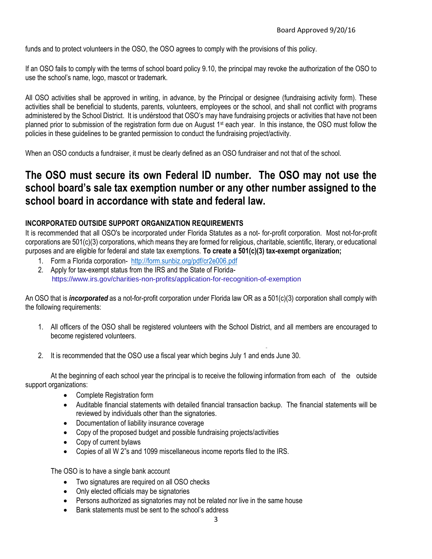funds and to protect volunteers in the OSO, the OSO agrees to comply with the provisions of this policy.

If an OSO fails to comply with the terms of school board policy 9.10, the principal may revoke the authorization of the OSO to use the school's name, logo, mascot or trademark.

All OSO activities shall be approved in writing, in advance, by the Principal or designee (fundraising activity form). These activities shall be beneficial to students, parents, volunteers, employees or the school, and shall not conflict with programs administered by the School District. It is understood that OSO's may have fundraising projects or activities that have not been planned prior to submission of the registration form due on August 1<sup>st</sup> each year. In this instance, the OSO must follow the policies in these guidelines to be granted permission to conduct the fundraising project/activity.

When an OSO conducts a fundraiser, it must be clearly defined as an OSO fundraiser and not that of the school.

### **The OSO must secure its own Federal ID number. The OSO may not use the school board's sale tax exemption number or any other number assigned to the school board in accordance with state and federal law.**

#### **INCORPORATED OUTSIDE SUPPORT ORGANIZATION REQUIREMENTS**

It is recommended that all OSO's be incorporated under Florida Statutes as a not- for-profit corporation. Most not-for-profit corporations are 501(c)(3) corporations, which means they are formed for religious, charitable, scientific, literary, or educational purposes and are eligible for federal and state tax exemptions. **To create a 501(c)(3) tax-exempt organization;**

- 1. Form a Florida corporation- <http://form.sunbiz.org/pdf/cr2e006.pdf>
- 2. Apply for tax-exempt status from the IRS and the State of Florida<https://www.irs.gov/charities-non-profits/application-for-recognition-of-exemption>

An OSO that is *incorporated* as a not-for-profit corporation under Florida law OR as a 501(c)(3) corporation shall comply with the following requirements:

- 1. All officers of the OSO shall be registered volunteers with the School District, and all members are encouraged to become registered volunteers.
- 2. It is recommended that the OSO use a fiscal year which begins July 1 and ends June 30.

At the beginning of each school year the principal is to receive the following information from each of the outside support organizations:

- Complete Registration form
- Auditable financial statements with detailed financial transaction backup. The financial statements will be reviewed by individuals other than the signatories.
- Documentation of liability insurance coverage
- Copy of the proposed budget and possible fundraising projects/activities
- Copy of current bylaws
- Copies of all W 2"s and 1099 miscellaneous income reports filed to the IRS.

The OSO is to have a single bank account

- Two signatures are required on all OSO checks
- Only elected officials may be signatories
- Persons authorized as signatories may not be related nor live in the same house
- Bank statements must be sent to the school's address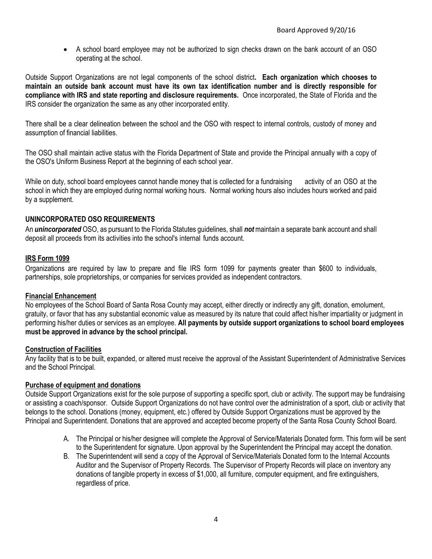A school board employee may not be authorized to sign checks drawn on the bank account of an OSO operating at the school.

Outside Support Organizations are not legal components of the school district**. Each organization which chooses to maintain an outside bank account must have its own tax identification number and is directly responsible for compliance with IRS and state reporting and disclosure requirements.** Once incorporated, the State of Florida and the IRS consider the organization the same as any other incorporated entity.

There shall be a clear delineation between the school and the OSO with respect to internal controls, custody of money and assumption of financial liabilities.

The OSO shall maintain active status with the Florida Department of State and provide the Principal annually with a copy of the OSO's Uniform Business Report at the beginning of each school year.

While on duty, school board employees cannot handle money that is collected for a fundraising activity of an OSO at the school in which they are employed during normal working hours. Normal working hours also includes hours worked and paid by a supplement.

#### **UNINCORPORATED OSO REQUIREMENTS**

An *unincorporated* OSO, as pursuant to the Florida Statutes guidelines, shall *not* maintain a separate bank account and shall deposit all proceeds from its activities into the school's internal funds account.

#### **IRS Form 1099**

Organizations are required by law to prepare and file IRS form 1099 for payments greater than \$600 to individuals, partnerships, sole proprietorships, or companies for services provided as independent contractors.

#### **Financial Enhancement**

No employees of the School Board of Santa Rosa County may accept, either directly or indirectly any gift, donation, emolument, gratuity, or favor that has any substantial economic value as measured by its nature that could affect his/her impartiality or judgment in performing his/her duties or services as an employee. **All payments by outside support organizations to school board employees must be approved in advance by the school principal.**

#### **Construction of Facilities**

Any facility that is to be built, expanded, or altered must receive the approval of the Assistant Superintendent of Administrative Services and the School Principal.

#### **Purchase of equipment and donations**

Outside Support Organizations exist for the sole purpose of supporting a specific sport, club or activity. The support may be fundraising or assisting a coach/sponsor. Outside Support Organizations do not have control over the administration of a sport, club or activity that belongs to the school. Donations (money, equipment, etc.) offered by Outside Support Organizations must be approved by the Principal and Superintendent. Donations that are approved and accepted become property of the Santa Rosa County School Board.

- A. The Principal or his/her designee will complete the Approval of Service/Materials Donated form. This form will be sent to the Superintendent for signature. Upon approval by the Superintendent the Principal may accept the donation.
- B. The Superintendent will send a copy of the Approval of Service/Materials Donated form to the Internal Accounts Auditor and the Supervisor of Property Records. The Supervisor of Property Records will place on inventory any donations of tangible property in excess of \$1,000, all furniture, computer equipment, and fire extinguishers, regardless of price.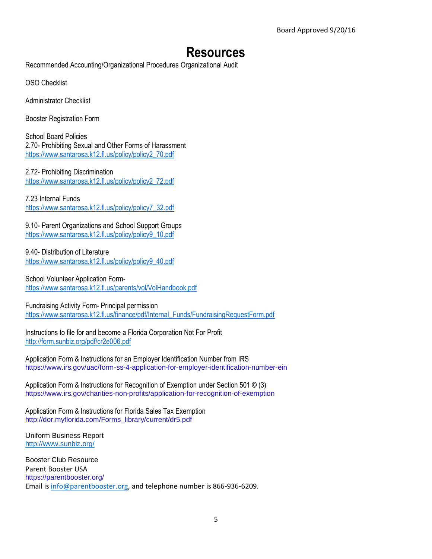# **Resources**

Recommended Accounting/Organizational Procedures Organizational Audit

OSO Checklist

Administrator Checklist

Booster Registration Form

School Board Policies 2.70- Prohibiting Sexual and Other Forms of Harassment [https://www.santarosa.k12.fl.us/policy/policy2\\_70.pdf](https://www.santarosa.k12.fl.us/policy/policy2_70.pdf)

2.72- Prohibiting Discrimination [https://www.santarosa.k12.fl.us/policy/policy2\\_72.pdf](https://www.santarosa.k12.fl.us/policy/policy2_72.pdf)

7.23 Internal Funds [https://www.santarosa.k12.fl.us/policy/policy7\\_32.pdf](https://www.santarosa.k12.fl.us/policy/policy7_32.pdf)

9.10- Parent Organizations and School Support Groups [https://www.santarosa.k12.fl.us/policy/policy9\\_10.pdf](https://www.santarosa.k12.fl.us/policy/policy9_10.pdf)

9.40- Distribution of Literature [https://www.santarosa.k12.fl.us/policy/policy9\\_40.pdf](https://www.santarosa.k12.fl.us/policy/policy9_40.pdf)

School Volunteer Application Form<https://www.santarosa.k12.fl.us/parents/vol/VolHandbook.pdf>

Fundraising Activity Form- Principal permission [https://www.santarosa.k12.fl.us/finance/pdf/Internal\\_Funds/FundraisingRequestForm.pdf](https://www.santarosa.k12.fl.us/finance/pdf/Internal_Funds/FundraisingRequestForm.pdf)

Instructions to file for and become a Florida Corporation Not For Profit <http://form.sunbiz.org/pdf/cr2e006.pdf>

Application Form & Instructions for an Employer Identification Number from IRS <https://www.irs.gov/uac/form-ss-4-application-for-employer-identification-number-ein>

Application Form & Instructions for Recognition of Exemption under Section 501 © (3) <https://www.irs.gov/charities-non-profits/application-for-recognition-of-exemption>

Application Form & Instructions for Florida Sales Tax Exemption [http://dor.myflorida.com/Forms\\_library/current/dr5.pdf](http://dor.myflorida.com/Forms_library/current/dr5.pdf)

Uniform Business Report <http://www.sunbiz.org/>

Booster Club Resource Parent Booster USA <https://parentbooster.org/> Email is [info@parentbooster.org,](mailto:info@parentbooster.org) and telephone number is 866-936-6209.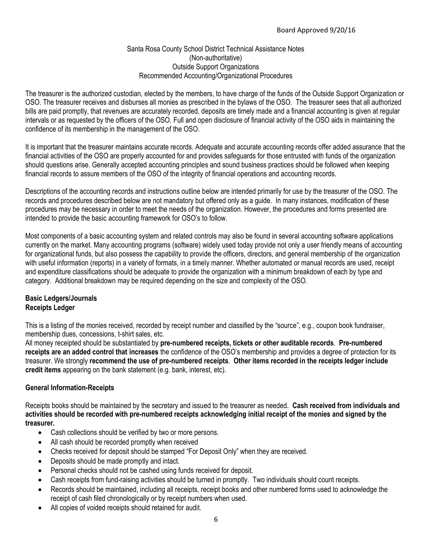#### Santa Rosa County School District Technical Assistance Notes (Non-authoritative) Outside Support Organizations Recommended Accounting/Organizational Procedures

The treasurer is the authorized custodian, elected by the members, to have charge of the funds of the Outside Support Organization or OSO. The treasurer receives and disburses all monies as prescribed in the bylaws of the OSO. The treasurer sees that all authorized bills are paid promptly, that revenues are accurately recorded, deposits are timely made and a financial accounting is given at regular intervals or as requested by the officers of the OSO. Full and open disclosure of financial activity of the OSO aids in maintaining the confidence of its membership in the management of the OSO.

It is important that the treasurer maintains accurate records. Adequate and accurate accounting records offer added assurance that the financial activities of the OSO are properly accounted for and provides safeguards for those entrusted with funds of the organization should questions arise. Generally accepted accounting principles and sound business practices should be followed when keeping financial records to assure members of the OSO of the integrity of financial operations and accounting records.

Descriptions of the accounting records and instructions outline below are intended primarily for use by the treasurer of the OSO. The records and procedures described below are not mandatory but offered only as a guide. In many instances, modification of these procedures may be necessary in order to meet the needs of the organization. However, the procedures and forms presented are intended to provide the basic accounting framework for OSO's to follow.

Most components of a basic accounting system and related controls may also be found in several accounting software applications currently on the market. Many accounting programs (software) widely used today provide not only a user friendly means of accounting for organizational funds, but also possess the capability to provide the officers, directors, and general membership of the organization with useful information (reports) in a variety of formats, in a timely manner. Whether automated or manual records are used, receipt and expenditure classifications should be adequate to provide the organization with a minimum breakdown of each by type and category. Additional breakdown may be required depending on the size and complexity of the OSO.

#### **Basic Ledgers/Journals Receipts Ledger**

This is a listing of the monies received, recorded by receipt number and classified by the "source", e.g., coupon book fundraiser, membership dues, concessions, t-shirt sales, etc.

All money receipted should be substantiated by **pre-numbered receipts, tickets or other auditable records**. **Pre-numbered receipts are an added control that increases** the confidence of the OSO's membership and provides a degree of protection for its treasurer. We strongly **recommend the use of pre-numbered receipts**. **Other items recorded in the receipts ledger include credit items** appearing on the bank statement (e.g. bank, interest, etc).

#### **General Information-Receipts**

Receipts books should be maintained by the secretary and issued to the treasurer as needed. **Cash received from individuals and activities should be recorded with pre-numbered receipts acknowledging initial receipt of the monies and signed by the treasurer.** 

- Cash collections should be verified by two or more persons.
- All cash should be recorded promptly when received
- Checks received for deposit should be stamped "For Deposit Only" when they are received.
- Deposits should be made promptly and intact.
- Personal checks should not be cashed using funds received for deposit.
- Cash receipts from fund-raising activities should be turned in promptly. Two individuals should count receipts.
- Records should be maintained, including all receipts, receipt books and other numbered forms used to acknowledge the receipt of cash filed chronologically or by receipt numbers when used.
- All copies of voided receipts should retained for audit.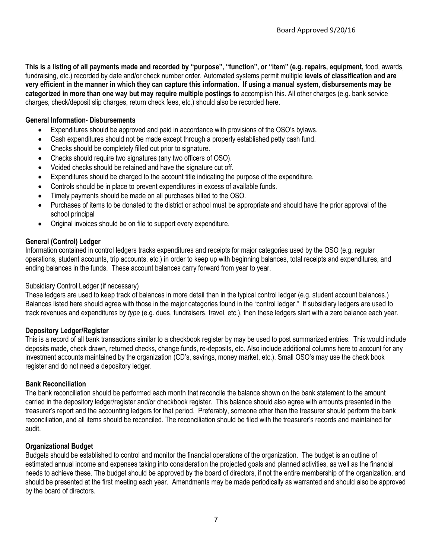**This is a listing of all payments made and recorded by "purpose", "function", or "item" (e.g. repairs, equipment,** food, awards, fundraising, etc.) recorded by date and/or check number order. Automated systems permit multiple **levels of classification and are very efficient in the manner in which they can capture this information. If using a manual system, disbursements may be categorized in more than one way but may require multiple postings to** accomplish this. All other charges (e.g. bank service charges, check/deposit slip charges, return check fees, etc.) should also be recorded here.

#### **General Information- Disbursements**

- Expenditures should be approved and paid in accordance with provisions of the OSO's bylaws.
- Cash expenditures should not be made except through a properly established petty cash fund.
- Checks should be completely filled out prior to signature.
- Checks should require two signatures (any two officers of OSO).
- Voided checks should be retained and have the signature cut off.
- Expenditures should be charged to the account title indicating the purpose of the expenditure.
- Controls should be in place to prevent expenditures in excess of available funds.
- Timely payments should be made on all purchases billed to the OSO.
- Purchases of items to be donated to the district or school must be appropriate and should have the prior approval of the school principal
- Original invoices should be on file to support every expenditure.

#### **General (Control) Ledger**

Information contained in control ledgers tracks expenditures and receipts for major categories used by the OSO (e.g. regular operations, student accounts, trip accounts, etc.) in order to keep up with beginning balances, total receipts and expenditures, and ending balances in the funds. These account balances carry forward from year to year.

#### Subsidiary Control Ledger (if necessary)

These ledgers are used to keep track of balances in more detail than in the typical control ledger (e.g. student account balances.) Balances listed here should agree with those in the major categories found in the "control ledger." If subsidiary ledgers are used to track revenues and expenditures by *type* (e.g. dues, fundraisers, travel, etc.), then these ledgers start with a zero balance each year.

#### **Depository Ledger/Register**

This is a record of all bank transactions similar to a checkbook register by may be used to post summarized entries. This would include deposits made, check drawn, returned checks, change funds, re-deposits, etc. Also include additional columns here to account for any investment accounts maintained by the organization (CD's, savings, money market, etc.). Small OSO's may use the check book register and do not need a depository ledger.

#### **Bank Reconciliation**

The bank reconciliation should be performed each month that reconcile the balance shown on the bank statement to the amount carried in the depository ledger/register and/or checkbook register. This balance should also agree with amounts presented in the treasurer's report and the accounting ledgers for that period. Preferably, someone other than the treasurer should perform the bank reconciliation, and all items should be reconciled. The reconciliation should be filed with the treasurer's records and maintained for audit.

#### **Organizational Budget**

Budgets should be established to control and monitor the financial operations of the organization. The budget is an outline of estimated annual income and expenses taking into consideration the projected goals and planned activities, as well as the financial needs to achieve these. The budget should be approved by the board of directors, if not the entire membership of the organization, and should be presented at the first meeting each year. Amendments may be made periodically as warranted and should also be approved by the board of directors.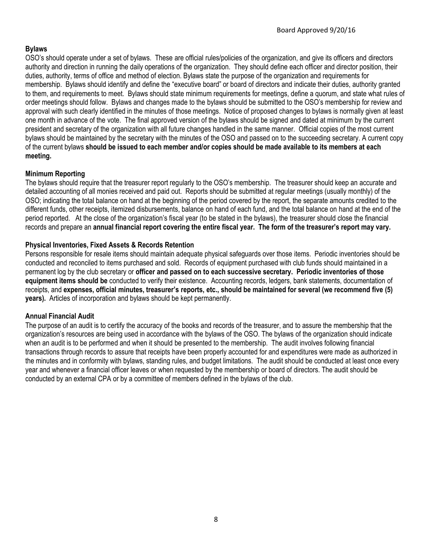#### **Bylaws**

OSO's should operate under a set of bylaws. These are official rules/policies of the organization, and give its officers and directors authority and direction in running the daily operations of the organization. They should define each officer and director position, their duties, authority, terms of office and method of election. Bylaws state the purpose of the organization and requirements for membership. Bylaws should identify and define the "executive board" or board of directors and indicate their duties, authority granted to them, and requirements to meet. Bylaws should state minimum requirements for meetings, define a quorum, and state what rules of order meetings should follow. Bylaws and changes made to the bylaws should be submitted to the OSO's membership for review and approval with such clearly identified in the minutes of those meetings. Notice of proposed changes to bylaws is normally given at least one month in advance of the vote. The final approved version of the bylaws should be signed and dated at minimum by the current president and secretary of the organization with all future changes handled in the same manner. Official copies of the most current bylaws should be maintained by the secretary with the minutes of the OSO and passed on to the succeeding secretary. A current copy of the current bylaws **should be issued to each member and/or copies should be made available to its members at each meeting.**

#### **Minimum Reporting**

The bylaws should require that the treasurer report regularly to the OSO's membership. The treasurer should keep an accurate and detailed accounting of all monies received and paid out. Reports should be submitted at regular meetings (usually monthly) of the OSO; indicating the total balance on hand at the beginning of the period covered by the report, the separate amounts credited to the different funds, other receipts, itemized disbursements, balance on hand of each fund, and the total balance on hand at the end of the period reported. At the close of the organization's fiscal year (to be stated in the bylaws), the treasurer should close the financial records and prepare an **annual financial report covering the entire fiscal year. The form of the treasurer's report may vary.** 

#### **Physical Inventories, Fixed Assets & Records Retention**

Persons responsible for resale items should maintain adequate physical safeguards over those items. Periodic inventories should be conducted and reconciled to items purchased and sold. Records of equipment purchased with club funds should maintained in a permanent log by the club secretary or **officer and passed on to each successive secretary. Periodic inventories of those equipment items should be** conducted to verify their existence. Accounting records, ledgers, bank statements, documentation of receipts, and **expenses, official minutes, treasurer's reports, etc., should be maintained for several (we recommend five (5) years).** Articles of incorporation and bylaws should be kept permanently.

#### **Annual Financial Audit**

The purpose of an audit is to certify the accuracy of the books and records of the treasurer, and to assure the membership that the organization's resources are being used in accordance with the bylaws of the OSO. The bylaws of the organization should indicate when an audit is to be performed and when it should be presented to the membership. The audit involves following financial transactions through records to assure that receipts have been properly accounted for and expenditures were made as authorized in the minutes and in conformity with bylaws, standing rules, and budget limitations. The audit should be conducted at least once every year and whenever a financial officer leaves or when requested by the membership or board of directors. The audit should be conducted by an external CPA or by a committee of members defined in the bylaws of the club.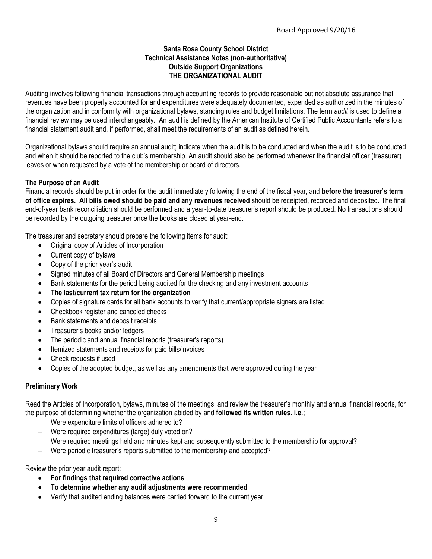#### **Santa Rosa County School District Technical Assistance Notes (non-authoritative) Outside Support Organizations THE ORGANIZATIONAL AUDIT**

Auditing involves following financial transactions through accounting records to provide reasonable but not absolute assurance that revenues have been properly accounted for and expenditures were adequately documented, expended as authorized in the minutes of the organization and in conformity with organizational bylaws, standing rules and budget limitations. The term *audit* is used to define a financial review may be used interchangeably. An audit is defined by the American Institute of Certified Public Accountants refers to a financial statement audit and, if performed, shall meet the requirements of an audit as defined herein.

Organizational bylaws should require an annual audit; indicate when the audit is to be conducted and when the audit is to be conducted and when it should be reported to the club's membership. An audit should also be performed whenever the financial officer (treasurer) leaves or when requested by a vote of the membership or board of directors.

#### **The Purpose of an Audit**

Financial records should be put in order for the audit immediately following the end of the fiscal year, and **before the treasurer's term of office expires. All bills owed should be paid and any revenues received** should be receipted, recorded and deposited. The final end-of-year bank reconciliation should be performed and a year-to-date treasurer's report should be produced. No transactions should be recorded by the outgoing treasurer once the books are closed at year-end.

The treasurer and secretary should prepare the following items for audit:

- Original copy of Articles of Incorporation
- Current copy of bylaws
- Copy of the prior year's audit
- Signed minutes of all Board of Directors and General Membership meetings
- Bank statements for the period being audited for the checking and any investment accounts
- **The last/current tax return for the organization**
- Copies of signature cards for all bank accounts to verify that current/appropriate signers are listed
- Checkbook register and canceled checks
- Bank statements and deposit receipts
- Treasurer's books and/or ledgers
- The periodic and annual financial reports (treasurer's reports)
- Itemized statements and receipts for paid bills/invoices
- Check requests if used
- Copies of the adopted budget, as well as any amendments that were approved during the year

#### **Preliminary Work**

Read the Articles of Incorporation, bylaws, minutes of the meetings, and review the treasurer's monthly and annual financial reports, for the purpose of determining whether the organization abided by and **followed its written rules. i.e.;**

- Were expenditure limits of officers adhered to?
- Were required expenditures (large) duly voted on?
- Were required meetings held and minutes kept and subsequently submitted to the membership for approval?
- Were periodic treasurer's reports submitted to the membership and accepted?

Review the prior year audit report:

- **For findings that required corrective actions**
- **To determine whether any audit adjustments were recommended**
- Verify that audited ending balances were carried forward to the current year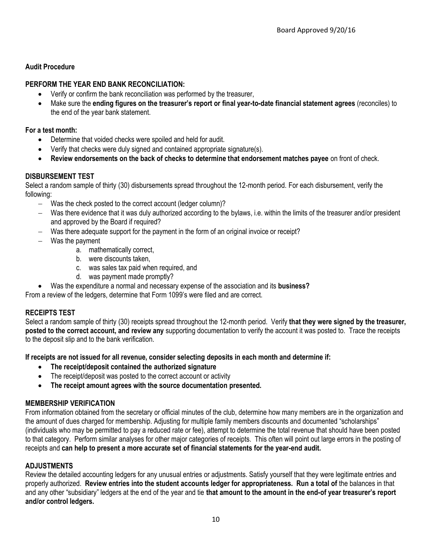#### **Audit Procedure**

#### **PERFORM THE YEAR END BANK RECONCILIATION:**

- Verify or confirm the bank reconciliation was performed by the treasurer,
- Make sure the **ending figures on the treasurer's report or final year-to-date financial statement agrees** (reconciles) to the end of the year bank statement.

#### **For a test month:**

- Determine that voided checks were spoiled and held for audit.
- Verify that checks were duly signed and contained appropriate signature(s).
- **Review endorsements on the back of checks to determine that endorsement matches payee** on front of check.

#### **DISBURSEMENT TEST**

Select a random sample of thirty (30) disbursements spread throughout the 12-month period. For each disbursement, verify the following:

- Was the check posted to the correct account (ledger column)?
- Was there evidence that it was duly authorized according to the bylaws, i.e. within the limits of the treasurer and/or president and approved by the Board if required?
- Was there adequate support for the payment in the form of an original invoice or receipt?
- Was the payment
	- a. mathematically correct,
	- b. were discounts taken,
	- c. was sales tax paid when required, and
	- d. was payment made promptly?
- Was the expenditure a normal and necessary expense of the association and its **business?**

From a review of the ledgers, determine that Form 1099's were filed and are correct.

#### **RECEIPTS TEST**

Select a random sample of thirty (30) receipts spread throughout the 12-month period. Verify **that they were signed by the treasurer, posted to the correct account, and review any** supporting documentation to verify the account it was posted to. Trace the receipts to the deposit slip and to the bank verification.

**If receipts are not issued for all revenue, consider selecting deposits in each month and determine if:**

- **The receipt/deposit contained the authorized signature**
- The receipt/deposit was posted to the correct account or activity
- **The receipt amount agrees with the source documentation presented.**

#### **MEMBERSHIP VERIFICATION**

From information obtained from the secretary or official minutes of the club, determine how many members are in the organization and the amount of dues charged for membership. Adjusting for multiple family members discounts and documented "scholarships" (individuals who may be permitted to pay a reduced rate or fee), attempt to determine the total revenue that should have been posted to that category. Perform similar analyses for other major categories of receipts. This often will point out large errors in the posting of receipts and **can help to present a more accurate set of financial statements for the year-end audit.** 

#### **ADJUSTMENTS**

Review the detailed accounting ledgers for any unusual entries or adjustments. Satisfy yourself that they were legitimate entries and properly authorized. **Review entries into the student accounts ledger for appropriateness. Run a total of** the balances in that and any other "subsidiary" ledgers at the end of the year and tie **that amount to the amount in the end-of year treasurer's report and/or control ledgers.**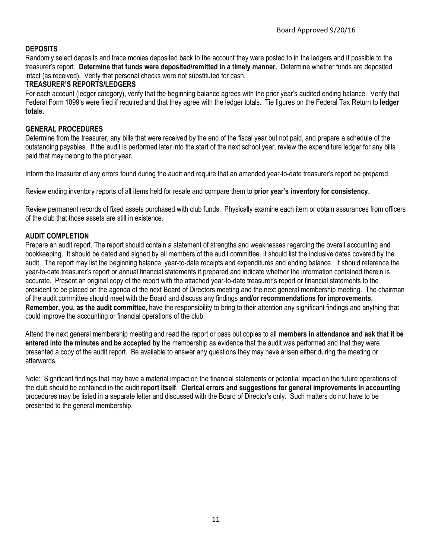#### **DEPOSITS**

Randomly select deposits and trace monies deposited back to the account they were posted to in the ledgers and if possible to the treasurer's report. **Determine that funds were deposited/remitted in a timely manner.** Determine whether funds are deposited intact (as received). Verify that personal checks were not substituted for cash.

#### **TREASURER'S REPORTS/LEDGERS**

For each account (ledger category), verify that the beginning balance agrees with the prior year's audited ending balance. Verify that Federal Form 1099's were filed if required and that they agree with the ledger totals. Tie figures on the Federal Tax Return to **ledger totals.**

#### **GENERAL PROCEDURES**

Determine from the treasurer, any bills that were received by the end of the fiscal year but not paid, and prepare a schedule of the outstanding payables. If the audit is performed later into the start of the next school year, review the expenditure ledger for any bills paid that may belong to the prior year.

Inform the treasurer of any errors found during the audit and require that an amended year-to-date treasurer's report be prepared.

Review ending inventory reports of all items held for resale and compare them to **prior year's inventory for consistency.** 

Review permanent records of fixed assets purchased with club funds. Physically examine each item or obtain assurances from officers of the club that those assets are still in existence.

#### **AUDIT COMPLETION**

Prepare an audit report. The report should contain a statement of strengths and weaknesses regarding the overall accounting and bookkeeping. It should be dated and signed by all members of the audit committee. It should list the inclusive dates covered by the audit. The report may list the beginning balance, year-to-date receipts and expenditures and ending balance. It should reference the year-to-date treasurer's report or annual financial statements if prepared and indicate whether the information contained therein is accurate. Present an original copy of the report with the attached year-to-date treasurer's report or financial statements to the president to be placed on the agenda of the next Board of Directors meeting and the next general membership meeting. The chairman of the audit committee should meet with the Board and discuss any findings **and/or recommendations for improvements. Remember, you, as the audit committee,** have the responsibility to bring to their attention any significant findings and anything that could improve the accounting or financial operations of the club.

Attend the next general membership meeting and read the report or pass out copies to all **members in attendance and ask that it be entered into the minutes and be accepted by** the membership as evidence that the audit was performed and that they were presented a copy of the audit report. Be available to answer any questions they may have arisen either during the meeting or afterwards.

Note: Significant findings that may have a material impact on the financial statements or potential impact on the future operations of the club should be contained in the audit **report itself**. **Clerical errors and suggestions for general improvements in accounting**  procedures may be listed in a separate letter and discussed with the Board of Director's only. Such matters do not have to be presented to the general membership.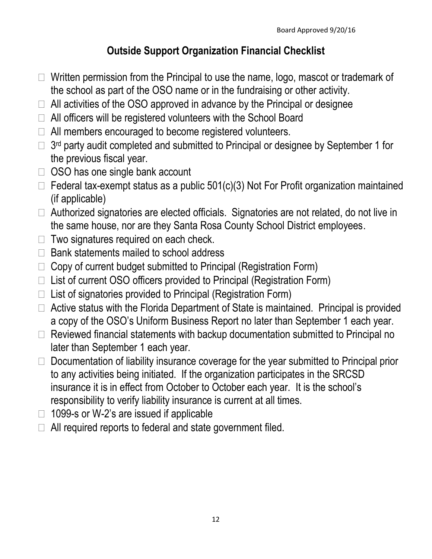# **Outside Support Organization Financial Checklist**

- $\Box$  Written permission from the Principal to use the name, logo, mascot or trademark of the school as part of the OSO name or in the fundraising or other activity.
- $\Box$  All activities of the OSO approved in advance by the Principal or designee
- $\Box$  All officers will be registered volunteers with the School Board
- $\Box$  All members encouraged to become registered volunteers.
- $\Box$  3<sup>rd</sup> party audit completed and submitted to Principal or designee by September 1 for the previous fiscal year.
- $\Box$  OSO has one single bank account
- $\Box$  Federal tax-exempt status as a public 501(c)(3) Not For Profit organization maintained (if applicable)
- $\Box$  Authorized signatories are elected officials. Signatories are not related, do not live in the same house, nor are they Santa Rosa County School District employees.
- $\Box$  Two signatures required on each check.
- $\Box$  Bank statements mailed to school address
- $\Box$  Copy of current budget submitted to Principal (Registration Form)
- $\Box$  List of current OSO officers provided to Principal (Registration Form)
- $\Box$  List of signatories provided to Principal (Registration Form)
- $\Box$  Active status with the Florida Department of State is maintained. Principal is provided a copy of the OSO's Uniform Business Report no later than September 1 each year.
- $\Box$  Reviewed financial statements with backup documentation submitted to Principal no later than September 1 each year.
- $\Box$  Documentation of liability insurance coverage for the year submitted to Principal prior to any activities being initiated. If the organization participates in the SRCSD insurance it is in effect from October to October each year. It is the school's responsibility to verify liability insurance is current at all times.
- $\Box$  1099-s or W-2's are issued if applicable
- $\Box$  All required reports to federal and state government filed.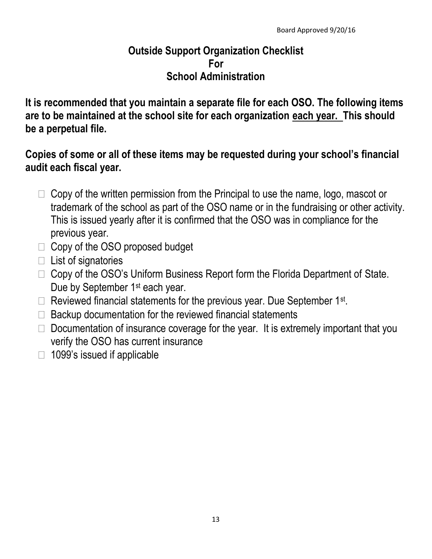# **Outside Support Organization Checklist For School Administration**

**It is recommended that you maintain a separate file for each OSO. The following items are to be maintained at the school site for each organization each year. This should be a perpetual file.**

## **Copies of some or all of these items may be requested during your school's financial audit each fiscal year.**

- $\Box$  Copy of the written permission from the Principal to use the name, logo, mascot or trademark of the school as part of the OSO name or in the fundraising or other activity. This is issued yearly after it is confirmed that the OSO was in compliance for the previous year.
- $\Box$  Copy of the OSO proposed budget
- $\Box$  List of signatories
- $\Box$  Copy of the OSO's Uniform Business Report form the Florida Department of State. Due by September 1<sup>st</sup> each year.
- $\Box$  Reviewed financial statements for the previous year. Due September 1st.
- $\Box$  Backup documentation for the reviewed financial statements
- $\Box$  Documentation of insurance coverage for the year. It is extremely important that you verify the OSO has current insurance
- $\Box$  1099's issued if applicable